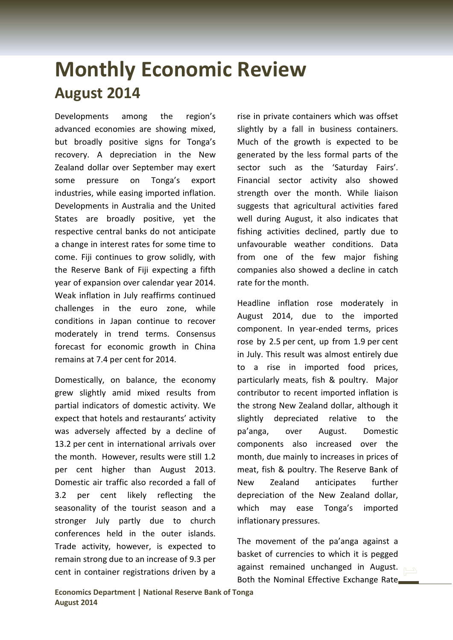## **Monthly Economic Review August 2014**

Developments among the region's advanced economies are showing mixed, but broadly positive signs for Tonga's recovery. A depreciation in the New Zealand dollar over September may exert some pressure on Tonga's export industries, while easing imported inflation. Developments in Australia and the United States are broadly positive, yet the respective central banks do not anticipate a change in interest rates for some time to come. Fiji continues to grow solidly, with the Reserve Bank of Fiji expecting a fifth year of expansion over calendar year 2014. Weak inflation in July reaffirms continued challenges in the euro zone, while conditions in Japan continue to recover moderately in trend terms. Consensus forecast for economic growth in China remains at 7.4 per cent for 2014.

Domestically, on balance, the economy grew slightly amid mixed results from partial indicators of domestic activity. We expect that hotels and restaurants' activity was adversely affected by a decline of 13.2 per cent in international arrivals over the month. However, results were still 1.2 per cent higher than August 2013. Domestic air traffic also recorded a fall of 3.2 per cent likely reflecting the seasonality of the tourist season and a stronger July partly due to church conferences held in the outer islands. Trade activity, however, is expected to remain strong due to an increase of 9.3 per cent in container registrations driven by a

rise in private containers which was offset slightly by a fall in business containers. Much of the growth is expected to be generated by the less formal parts of the sector such as the 'Saturday Fairs'. Financial sector activity also showed strength over the month. While liaison suggests that agricultural activities fared well during August, it also indicates that fishing activities declined, partly due to unfavourable weather conditions. Data from one of the few major fishing companies also showed a decline in catch rate for the month.

Headline inflation rose moderately in August 2014, due to the imported component. In year-ended terms, prices rose by 2.5 per cent, up from 1.9 per cent in July. This result was almost entirely due to a rise in imported food prices, particularly meats, fish & poultry. Major contributor to recent imported inflation is the strong New Zealand dollar, although it slightly depreciated relative to the pa'anga, over August. Domestic components also increased over the month, due mainly to increases in prices of meat, fish & poultry. The Reserve Bank of New Zealand anticipates further depreciation of the New Zealand dollar, which may ease Tonga's imported inflationary pressures.

The movement of the pa'anga against a basket of currencies to which it is pegged against remained unchanged in August. Both the Nominal Effective Exchange Rate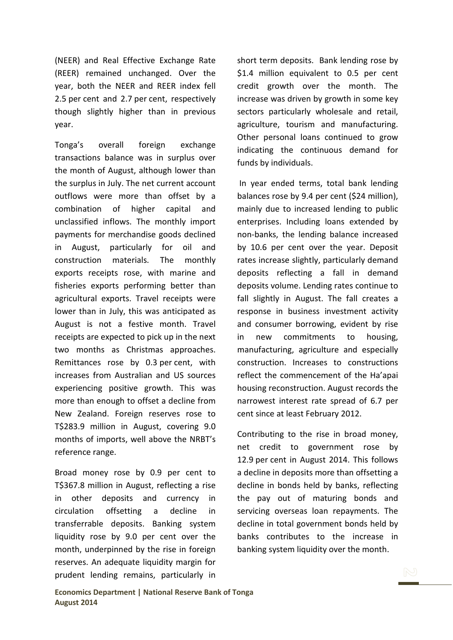(NEER) and Real Effective Exchange Rate (REER) remained unchanged. Over the year, both the NEER and REER index fell 2.5 per cent and 2.7 per cent, respectively though slightly higher than in previous year.

Tonga's overall foreign exchange transactions balance was in surplus over the month of August, although lower than the surplus in July. The net current account outflows were more than offset by a combination of higher capital and unclassified inflows. The monthly import payments for merchandise goods declined in August, particularly for oil and construction materials. The monthly exports receipts rose, with marine and fisheries exports performing better than agricultural exports. Travel receipts were lower than in July, this was anticipated as August is not a festive month. Travel receipts are expected to pick up in the next two months as Christmas approaches. Remittances rose by 0.3 per cent, with increases from Australian and US sources experiencing positive growth. This was more than enough to offset a decline from New Zealand. Foreign reserves rose to T\$283.9 million in August, covering 9.0 months of imports, well above the NRBT's reference range.

Broad money rose by 0.9 per cent to T\$367.8 million in August, reflecting a rise in other deposits and currency in circulation offsetting a decline in transferrable deposits. Banking system liquidity rose by 9.0 per cent over the month, underpinned by the rise in foreign reserves. An adequate liquidity margin for prudent lending remains, particularly in short term deposits. Bank lending rose by \$1.4 million equivalent to 0.5 per cent credit growth over the month. The increase was driven by growth in some key sectors particularly wholesale and retail, agriculture, tourism and manufacturing. Other personal loans continued to grow indicating the continuous demand for funds by individuals.

In year ended terms, total bank lending balances rose by 9.4 per cent (\$24 million), mainly due to increased lending to public enterprises. Including loans extended by non-banks, the lending balance increased by 10.6 per cent over the year. Deposit rates increase slightly, particularly demand deposits reflecting a fall in demand deposits volume. Lending rates continue to fall slightly in August. The fall creates a response in business investment activity and consumer borrowing, evident by rise in new commitments to housing, manufacturing, agriculture and especially construction. Increases to constructions reflect the commencement of the Ha'apai housing reconstruction. August records the narrowest interest rate spread of 6.7 per cent since at least February 2012.

Contributing to the rise in broad money, net credit to government rose by 12.9 per cent in August 2014. This follows a decline in deposits more than offsetting a decline in bonds held by banks, reflecting the pay out of maturing bonds and servicing overseas loan repayments. The decline in total government bonds held by banks contributes to the increase in banking system liquidity over the month.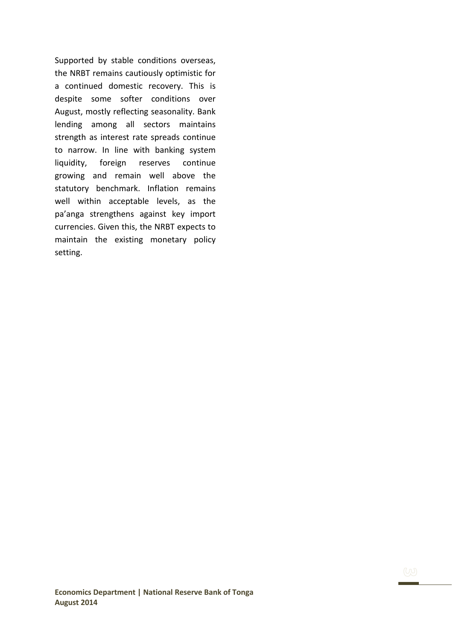Supported by stable conditions overseas, the NRBT remains cautiously optimistic for a continued domestic recovery. This is despite some softer conditions over August, mostly reflecting seasonality. Bank lending among all sectors maintains strength as interest rate spreads continue to narrow. In line with banking system liquidity, foreign reserves continue growing and remain well above the statutory benchmark. Inflation remains well within acceptable levels, as the pa'anga strengthens against key import currencies. Given this, the NRBT expects to maintain the existing monetary policy setting.